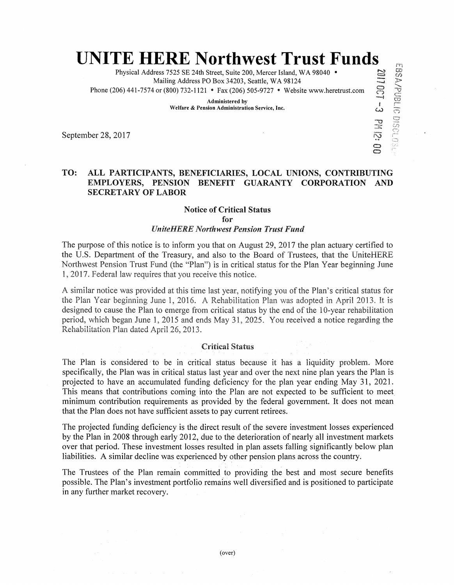ا<br>د

 $\subseteq$  $\mathbf{C}$ 

# **UNITE HERE Northwest Trust Funds**

Physical Address 7525 SE 24th Street, Suite 200, Mercer Island, WA 98040 • Mailing Address PO Box 34203, Seattle, WA 98124 Phone (206) 441-7574 or (800) 732-1121 • Fax (206) 505-9727 • Website www.heretrust.com

> Administered by Welfare & Pension Administration Service, Inc.

September 28, 2017

# TO: ALL PARTICIPANTS, BENEFICIARIES, LOCAL UNIONS, CONTRIBUTING EMPLOYERS, PENSION BENEFIT GUARANTY CORPORATION AND SECRETARY OF LABOR

# Notice of Critical Status

for

## *UniteHERE Northwest Pension Trust Fund*

The purpose of this notice is to inform you that on August 29, 2017 the plan actuary certified to the U.S. Department of the Treasury, and also to the Board of Trustees, that the UniteHERE Northwest Pension Trust Fund (the "Plan") is in critical status for the Plan Year beginning June 1, 2017. Federal law requires that you receive this notice.

A similar notice was provided at this time last year, notifying you of the Plan's critical status for the Plan Year beginning June 1, 2016. A Rehabilitation Plan was adopted in April 2013. It is designed to cause the Plan to emerge from critical status by the end of the 10-year rehabilitation period, which began June 1, 2015 and ends May 31, 2025. You received a notice regarding the Rehabilitation Pian dated April 26, 2013.

#### Critical Status

The Plan is considered to be in critical status because it has a liquidity problem. More specifically, the Plan was in critical status last year and over the next nine plan years the Plan is projected to have an accumulated funding deficiency for the plan year ending May 31, 2021. This means that contributions coming into the Plan are not expected to be sufficient to meet minimum contribution requirements as provided by the federal government. It does not mean that the Plan does not have sufficient assets to pay current retirees.

The projected funding deficiency is the direct result of the severe investment losses experienced by the Plan in 2008 through early 2012, due to the deterioration of nearly all investment markets over that period. These investment losses resulted in plan assets falling significantly below plan liabilities. A similar decline was experienced by other pension plans across the country.

The Trustees of the Plan remain committed to providing the best and most secure benefits possible. The Plan's investment portfolio remains well diversified and is positioned to participate in any further market recovery.